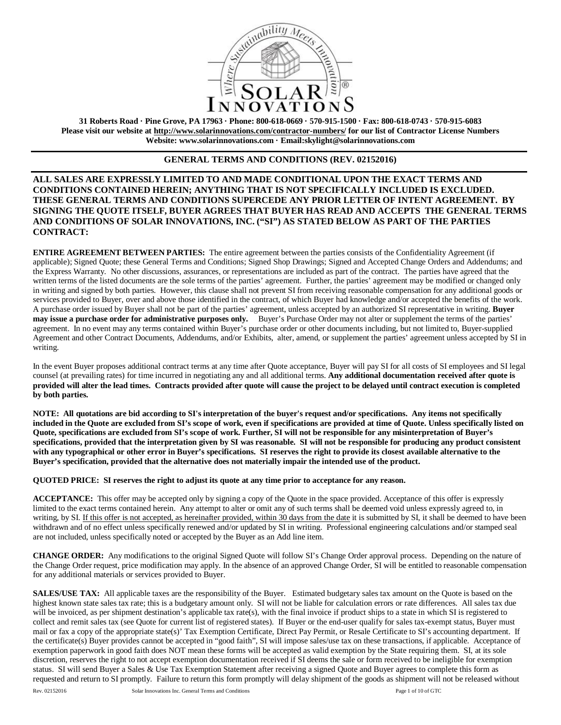

**31 Roberts Road · Pine Grove, PA 17963 · Phone: 800-618-0669 · 570-915-1500 · Fax: 800-618-0743 · 570-915-6083 Please visit our website at http://www.solarinnovations.com/contractor-numbers/ for our list of Contractor License Numbers Website: www.solarinnovations.com · Email:skylight@solarinnovations.com**

# **GENERAL TERMS AND CONDITIONS (REV. 02152016)**

**ALL SALES ARE EXPRESSLY LIMITED TO AND MADE CONDITIONAL UPON THE EXACT TERMS AND CONDITIONS CONTAINED HEREIN; ANYTHING THAT IS NOT SPECIFICALLY INCLUDED IS EXCLUDED. THESE GENERAL TERMS AND CONDITIONS SUPERCEDE ANY PRIOR LETTER OF INTENT AGREEMENT. BY SIGNING THE QUOTE ITSELF, BUYER AGREES THAT BUYER HAS READ AND ACCEPTS THE GENERAL TERMS AND CONDITIONS OF SOLAR INNOVATIONS, INC. ("SI") AS STATED BELOW AS PART OF THE PARTIES CONTRACT:**

**ENTIRE AGREEMENT BETWEEN PARTIES:** The entire agreement between the parties consists of the Confidentiality Agreement (if applicable); Signed Quote; these General Terms and Conditions; Signed Shop Drawings; Signed and Accepted Change Orders and Addendums; and the Express Warranty. No other discussions, assurances, or representations are included as part of the contract. The parties have agreed that the written terms of the listed documents are the sole terms of the parties' agreement. Further, the parties' agreement may be modified or changed only in writing and signed by both parties. However, this clause shall not prevent SI from receiving reasonable compensation for any additional goods or services provided to Buyer, over and above those identified in the contract, of which Buyer had knowledge and/or accepted the benefits of the work. A purchase order issued by Buyer shall not be part of the parties' agreement, unless accepted by an authorized SI representative in writing. **Buyer may issue a purchase order for administrative purposes only.** Buyer's Purchase Order may not alter or supplement the terms of the parties' agreement. In no event may any terms contained within Buyer's purchase order or other documents including, but not limited to, Buyer-supplied Agreement and other Contract Documents, Addendums, and/or Exhibits, alter, amend, or supplement the parties' agreement unless accepted by SI in writing.

In the event Buyer proposes additional contract terms at any time after Quote acceptance, Buyer will pay SI for all costs of SI employees and SI legal counsel (at prevailing rates) for time incurred in negotiating any and all additional terms. **Any additional documentation received after quote is provided will alter the lead times. Contracts provided after quote will cause the project to be delayed until contract execution is completed by both parties.**

**NOTE: All quotations are bid according to SI's interpretation of the buyer's request and/or specifications. Any items not specifically included in the Quote are excluded from SI's scope of work, even if specifications are provided at time of Quote. Unless specifically listed on Quote, specifications are excluded from SI's scope of work. Further, SI will not be responsible for any misinterpretation of Buyer's specifications, provided that the interpretation given by SI was reasonable. SI will not be responsible for producing any product consistent with any typographical or other error in Buyer's specifications. SI reserves the right to provide its closest available alternative to the Buyer's specification, provided that the alternative does not materially impair the intended use of the product.** 

**QUOTED PRICE: SI reserves the right to adjust its quote at any time prior to acceptance for any reason.** 

**ACCEPTANCE:** This offer may be accepted only by signing a copy of the Quote in the space provided. Acceptance of this offer is expressly limited to the exact terms contained herein. Any attempt to alter or omit any of such terms shall be deemed void unless expressly agreed to, in writing, by SI. If this offer is not accepted, as hereinafter provided, within 30 days from the date it is submitted by SI, it shall be deemed to have been withdrawn and of no effect unless specifically renewed and/or updated by SI in writing. Professional engineering calculations and/or stamped seal are not included, unless specifically noted or accepted by the Buyer as an Add line item.

**CHANGE ORDER:** Any modifications to the original Signed Quote will follow SI's Change Order approval process. Depending on the nature of the Change Order request, price modification may apply. In the absence of an approved Change Order, SI will be entitled to reasonable compensation for any additional materials or services provided to Buyer.

**SALES/USE TAX:** All applicable taxes are the responsibility of the Buyer. Estimated budgetary sales tax amount on the Quote is based on the highest known state sales tax rate; this is a budgetary amount only. SI will not be liable for calculation errors or rate differences. All sales tax due will be invoiced, as per shipment destination's applicable tax rate(s), with the final invoice if product ships to a state in which SI is registered to collect and remit sales tax (see Quote for current list of registered states). If Buyer or the end-user qualify for sales tax-exempt status, Buyer must mail or fax a copy of the appropriate state(s)' Tax Exemption Certificate, Direct Pay Permit, or Resale Certificate to SI's accounting department. If the certificate(s) Buyer provides cannot be accepted in "good faith", SI will impose sales/use tax on these transactions, if applicable. Acceptance of exemption paperwork in good faith does NOT mean these forms will be accepted as valid exemption by the State requiring them. SI, at its sole discretion, reserves the right to not accept exemption documentation received if SI deems the sale or form received to be ineligible for exemption status. SI will send Buyer a Sales & Use Tax Exemption Statement after receiving a signed Quote and Buyer agrees to complete this form as requested and return to SI promptly. Failure to return this form promptly will delay shipment of the goods as shipment will not be released without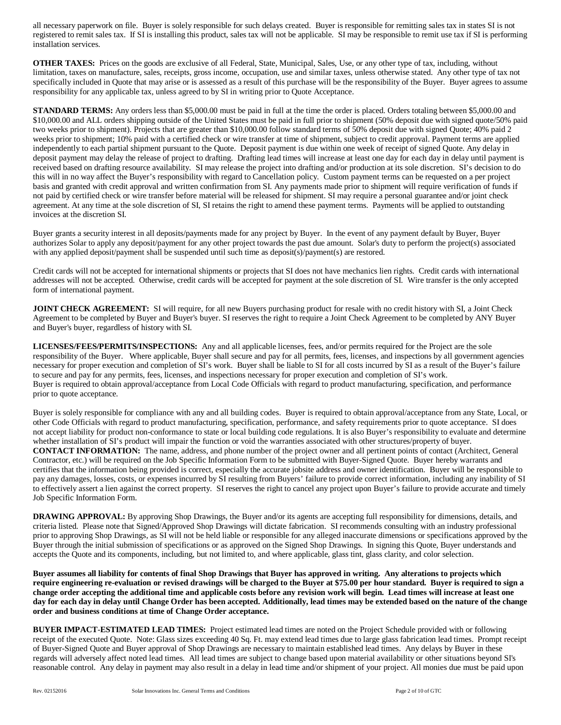all necessary paperwork on file. Buyer is solely responsible for such delays created. Buyer is responsible for remitting sales tax in states SI is not registered to remit sales tax. If SI is installing this product, sales tax will not be applicable. SI may be responsible to remit use tax if SI is performing installation services.

**OTHER TAXES:** Prices on the goods are exclusive of all Federal, State, Municipal, Sales, Use, or any other type of tax, including, without limitation, taxes on manufacture, sales, receipts, gross income, occupation, use and similar taxes, unless otherwise stated. Any other type of tax not specifically included in Quote that may arise or is assessed as a result of this purchase will be the responsibility of the Buyer. Buyer agrees to assume responsibility for any applicable tax, unless agreed to by SI in writing prior to Quote Acceptance.

**STANDARD TERMS:** Any orders less than \$5,000.00 must be paid in full at the time the order is placed. Orders totaling between \$5,000.00 and \$10,000.00 and ALL orders shipping outside of the United States must be paid in full prior to shipment (50% deposit due with signed quote/50% paid two weeks prior to shipment). Projects that are greater than \$10,000.00 follow standard terms of 50% deposit due with signed Quote; 40% paid 2 weeks prior to shipment; 10% paid with a certified check or wire transfer at time of shipment, subject to credit approval. Payment terms are applied independently to each partial shipment pursuant to the Quote. Deposit payment is due within one week of receipt of signed Quote. Any delay in deposit payment may delay the release of project to drafting. Drafting lead times will increase at least one day for each day in delay until payment is received based on drafting resource availability. SI may release the project into drafting and/or production at its sole discretion. SI's decision to do this will in no way affect the Buyer's responsibility with regard to Cancellation policy. Custom payment terms can be requested on a per project basis and granted with credit approval and written confirmation from SI. Any payments made prior to shipment will require verification of funds if not paid by certified check or wire transfer before material will be released for shipment. SI may require a personal guarantee and/or joint check agreement. At any time at the sole discretion of SI, SI retains the right to amend these payment terms. Payments will be applied to outstanding invoices at the discretion SI.

Buyer grants a security interest in all deposits/payments made for any project by Buyer. In the event of any payment default by Buyer, Buyer authorizes Solar to apply any deposit/payment for any other project towards the past due amount. Solar's duty to perform the project(s) associated with any applied deposit/payment shall be suspended until such time as deposit(s)/payment(s) are restored.

Credit cards will not be accepted for international shipments or projects that SI does not have mechanics lien rights. Credit cards with international addresses will not be accepted. Otherwise, credit cards will be accepted for payment at the sole discretion of SI. Wire transfer is the only accepted form of international payment.

**JOINT CHECK AGREEMENT:** SI will require, for all new Buyers purchasing product for resale with no credit history with SI, a Joint Check Agreement to be completed by Buyer and Buyer's buyer. SI reserves the right to require a Joint Check Agreement to be completed by ANY Buyer and Buyer's buyer, regardless of history with SI.

**LICENSES/FEES/PERMITS/INSPECTIONS:** Any and all applicable licenses, fees, and/or permits required for the Project are the sole responsibility of the Buyer. Where applicable, Buyer shall secure and pay for all permits, fees, licenses, and inspections by all government agencies necessary for proper execution and completion of SI's work. Buyer shall be liable to SI for all costs incurred by SI as a result of the Buyer's failure to secure and pay for any permits, fees, licenses, and inspections necessary for proper execution and completion of SI's work. Buyer is required to obtain approval/acceptance from Local Code Officials with regard to product manufacturing, specification, and performance prior to quote acceptance.

Buyer is solely responsible for compliance with any and all building codes. Buyer is required to obtain approval/acceptance from any State, Local, or other Code Officials with regard to product manufacturing, specification, performance, and safety requirements prior to quote acceptance. SI does not accept liability for product non-conformance to state or local building code regulations. It is also Buyer's responsibility to evaluate and determine whether installation of SI's product will impair the function or void the warranties associated with other structures/property of buyer. **CONTACT INFORMATION:** The name, address, and phone number of the project owner and all pertinent points of contact (Architect, General Contractor, etc.) will be required on the Job Specific Information Form to be submitted with Buyer-Signed Quote. Buyer hereby warrants and certifies that the information being provided is correct, especially the accurate jobsite address and owner identification. Buyer will be responsible to pay any damages, losses, costs, or expenses incurred by SI resulting from Buyers' failure to provide correct information, including any inability of SI to effectively assert a lien against the correct property. SI reserves the right to cancel any project upon Buyer's failure to provide accurate and timely Job Specific Information Form.

**DRAWING APPROVAL:** By approving Shop Drawings, the Buyer and/or its agents are accepting full responsibility for dimensions, details, and criteria listed. Please note that Signed/Approved Shop Drawings will dictate fabrication. SI recommends consulting with an industry professional prior to approving Shop Drawings, as SI will not be held liable or responsible for any alleged inaccurate dimensions or specifications approved by the Buyer through the initial submission of specifications or as approved on the Signed Shop Drawings. In signing this Quote, Buyer understands and accepts the Quote and its components, including, but not limited to, and where applicable, glass tint, glass clarity, and color selection.

**Buyer assumes all liability for contents of final Shop Drawings that Buyer has approved in writing. Any alterations to projects which require engineering re-evaluation or revised drawings will be charged to the Buyer at \$75.00 per hour standard. Buyer is required to sign a change order accepting the additional time and applicable costs before any revision work will begin. Lead times will increase at least one day for each day in delay until Change Order has been accepted. Additionally, lead times may be extended based on the nature of the change order and business conditions at time of Change Order acceptance.**

**BUYER IMPACT**-**ESTIMATED LEAD TIMES:** Project estimated lead times are noted on the Project Schedule provided with or following receipt of the executed Quote. Note: Glass sizes exceeding 40 Sq. Ft. may extend lead times due to large glass fabrication lead times. Prompt receipt of Buyer-Signed Quote and Buyer approval of Shop Drawings are necessary to maintain established lead times. Any delays by Buyer in these regards will adversely affect noted lead times. All lead times are subject to change based upon material availability or other situations beyond SI's reasonable control. Any delay in payment may also result in a delay in lead time and/or shipment of your project. All monies due must be paid upon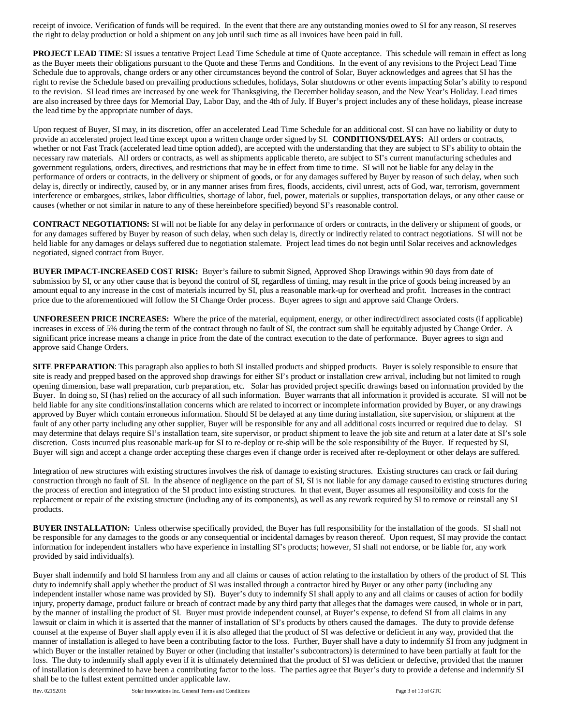receipt of invoice. Verification of funds will be required. In the event that there are any outstanding monies owed to SI for any reason, SI reserves the right to delay production or hold a shipment on any job until such time as all invoices have been paid in full.

**PROJECT LEAD TIME**: SI issues a tentative Project Lead Time Schedule at time of Quote acceptance. This schedule will remain in effect as long as the Buyer meets their obligations pursuant to the Quote and these Terms and Conditions. In the event of any revisions to the Project Lead Time Schedule due to approvals, change orders or any other circumstances beyond the control of Solar, Buyer acknowledges and agrees that SI has the right to revise the Schedule based on prevailing productions schedules, holidays, Solar shutdowns or other events impacting Solar's ability to respond to the revision. SI lead times are increased by one week for Thanksgiving, the December holiday season, and the New Year's Holiday. Lead times are also increased by three days for Memorial Day, Labor Day, and the 4th of July. If Buyer's project includes any of these holidays, please increase the lead time by the appropriate number of days.

Upon request of Buyer, SI may, in its discretion, offer an accelerated Lead Time Schedule for an additional cost. SI can have no liability or duty to provide an accelerated project lead time except upon a written change order signed by SI. **CONDITIONS/DELAYS:** All orders or contracts, whether or not Fast Track (accelerated lead time option added), are accepted with the understanding that they are subject to SI's ability to obtain the necessary raw materials. All orders or contracts, as well as shipments applicable thereto, are subject to SI's current manufacturing schedules and government regulations, orders, directives, and restrictions that may be in effect from time to time. SI will not be liable for any delay in the performance of orders or contracts, in the delivery or shipment of goods, or for any damages suffered by Buyer by reason of such delay, when such delay is, directly or indirectly, caused by, or in any manner arises from fires, floods, accidents, civil unrest, acts of God, war, terrorism, government interference or embargoes, strikes, labor difficulties, shortage of labor, fuel, power, materials or supplies, transportation delays, or any other cause or causes (whether or not similar in nature to any of these hereinbefore specified) beyond SI's reasonable control.

**CONTRACT NEGOTIATIONS:** SI will not be liable for any delay in performance of orders or contracts, in the delivery or shipment of goods, or for any damages suffered by Buyer by reason of such delay, when such delay is, directly or indirectly related to contract negotiations. SI will not be held liable for any damages or delays suffered due to negotiation stalemate. Project lead times do not begin until Solar receives and acknowledges negotiated, signed contract from Buyer.

**BUYER IMPACT-INCREASED COST RISK:** Buyer's failure to submit Signed, Approved Shop Drawings within 90 days from date of submission by SI, or any other cause that is beyond the control of SI, regardless of timing, may result in the price of goods being increased by an amount equal to any increase in the cost of materials incurred by SI, plus a reasonable mark-up for overhead and profit. Increases in the contract price due to the aforementioned will follow the SI Change Order process. Buyer agrees to sign and approve said Change Orders.

**UNFORESEEN PRICE INCREASES:** Where the price of the material, equipment, energy, or other indirect/direct associated costs (if applicable) increases in excess of 5% during the term of the contract through no fault of SI, the contract sum shall be equitably adjusted by Change Order. A significant price increase means a change in price from the date of the contract execution to the date of performance. Buyer agrees to sign and approve said Change Orders.

**SITE PREPARATION**: This paragraph also applies to both SI installed products and shipped products. Buyer is solely responsible to ensure that site is ready and prepped based on the approved shop drawings for either SI's product or installation crew arrival, including but not limited to rough opening dimension, base wall preparation, curb preparation, etc. Solar has provided project specific drawings based on information provided by the Buyer. In doing so, SI (has) relied on the accuracy of all such information. Buyer warrants that all information it provided is accurate. SI will not be held liable for any site conditions/installation concerns which are related to incorrect or incomplete information provided by Buyer, or any drawings approved by Buyer which contain erroneous information. Should SI be delayed at any time during installation, site supervision, or shipment at the fault of any other party including any other supplier, Buyer will be responsible for any and all additional costs incurred or required due to delay. SI may determine that delays require SI's installation team, site supervisor, or product shipment to leave the job site and return at a later date at SI's sole discretion. Costs incurred plus reasonable mark-up for SI to re-deploy or re-ship will be the sole responsibility of the Buyer. If requested by SI, Buyer will sign and accept a change order accepting these charges even if change order is received after re-deployment or other delays are suffered.

Integration of new structures with existing structures involves the risk of damage to existing structures. Existing structures can crack or fail during construction through no fault of SI. In the absence of negligence on the part of SI, SI is not liable for any damage caused to existing structures during the process of erection and integration of the SI product into existing structures. In that event, Buyer assumes all responsibility and costs for the replacement or repair of the existing structure (including any of its components), as well as any rework required by SI to remove or reinstall any SI products.

**BUYER INSTALLATION:** Unless otherwise specifically provided, the Buyer has full responsibility for the installation of the goods. SI shall not be responsible for any damages to the goods or any consequential or incidental damages by reason thereof. Upon request, SI may provide the contact information for independent installers who have experience in installing SI's products; however, SI shall not endorse, or be liable for, any work provided by said individual(s).

Buyer shall indemnify and hold SI harmless from any and all claims or causes of action relating to the installation by others of the product of SI. This duty to indemnify shall apply whether the product of SI was installed through a contractor hired by Buyer or any other party (including any independent installer whose name was provided by SI). Buyer's duty to indemnify SI shall apply to any and all claims or causes of action for bodily injury, property damage, product failure or breach of contract made by any third party that alleges that the damages were caused, in whole or in part, by the manner of installing the product of SI. Buyer must provide independent counsel, at Buyer's expense, to defend SI from all claims in any lawsuit or claim in which it is asserted that the manner of installation of SI's products by others caused the damages. The duty to provide defense counsel at the expense of Buyer shall apply even if it is also alleged that the product of SI was defective or deficient in any way, provided that the manner of installation is alleged to have been a contributing factor to the loss. Further, Buyer shall have a duty to indemnify SI from any judgment in which Buyer or the installer retained by Buyer or other (including that installer's subcontractors) is determined to have been partially at fault for the loss. The duty to indemnify shall apply even if it is ultimately determined that the product of SI was deficient or defective, provided that the manner of installation is determined to have been a contributing factor to the loss. The parties agree that Buyer's duty to provide a defense and indemnify SI shall be to the fullest extent permitted under applicable law.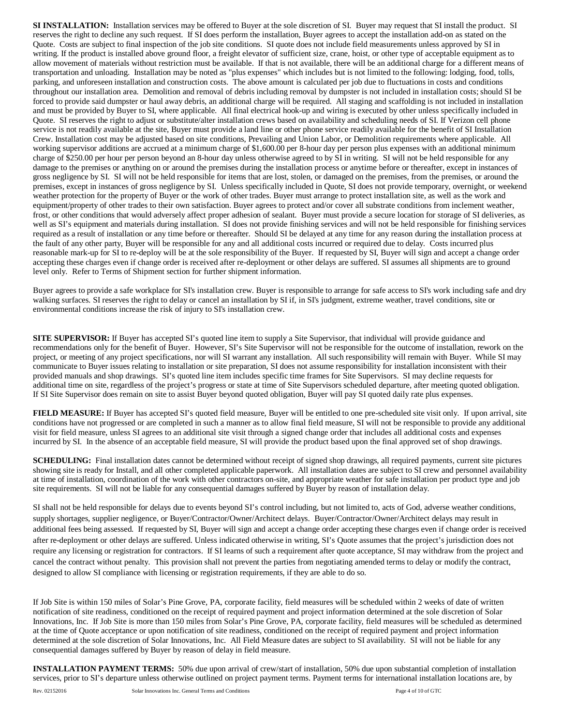**SI INSTALLATION:** Installation services may be offered to Buyer at the sole discretion of SI. Buyer may request that SI install the product. SI reserves the right to decline any such request. If SI does perform the installation, Buyer agrees to accept the installation add-on as stated on the Quote. Costs are subject to final inspection of the job site conditions. SI quote does not include field measurements unless approved by SI in writing. If the product is installed above ground floor, a freight elevator of sufficient size, crane, hoist, or other type of acceptable equipment as to allow movement of materials without restriction must be available. If that is not available, there will be an additional charge for a different means of transportation and unloading. Installation may be noted as "plus expenses" which includes but is not limited to the following: lodging, food, tolls, parking, and unforeseen installation and construction costs. The above amount is calculated per job due to fluctuations in costs and conditions throughout our installation area. Demolition and removal of debris including removal by dumpster is not included in installation costs; should SI be forced to provide said dumpster or haul away debris, an additional charge will be required. All staging and scaffolding is not included in installation and must be provided by Buyer to SI, where applicable. All final electrical hook-up and wiring is executed by other unless specifically included in Quote. SI reserves the right to adjust or substitute/alter installation crews based on availability and scheduling needs of SI. If Verizon cell phone service is not readily available at the site, Buyer must provide a land line or other phone service readily available for the benefit of SI Installation Crew. Installation cost may be adjusted based on site conditions, Prevailing and Union Labor, or Demolition requirements where applicable. All working supervisor additions are accrued at a minimum charge of \$1,600.00 per 8-hour day per person plus expenses with an additional minimum charge of \$250.00 per hour per person beyond an 8-hour day unless otherwise agreed to by SI in writing. SI will not be held responsible for any damage to the premises or anything on or around the premises during the installation process or anytime before or thereafter, except in instances of gross negligence by SI. SI will not be held responsible for items that are lost, stolen, or damaged on the premises, from the premises, or around the premises, except in instances of gross negligence by SI. Unless specifically included in Quote, SI does not provide temporary, overnight, or weekend weather protection for the property of Buyer or the work of other trades. Buyer must arrange to protect installation site, as well as the work and equipment/property of other trades to their own satisfaction. Buyer agrees to protect and/or cover all substrate conditions from inclement weather, frost, or other conditions that would adversely affect proper adhesion of sealant. Buyer must provide a secure location for storage of SI deliveries, as well as SI's equipment and materials during installation. SI does not provide finishing services and will not be held responsible for finishing services required as a result of installation or any time before or thereafter. Should SI be delayed at any time for any reason during the installation process at the fault of any other party, Buyer will be responsible for any and all additional costs incurred or required due to delay. Costs incurred plus reasonable mark-up for SI to re-deploy will be at the sole responsibility of the Buyer. If requested by SI, Buyer will sign and accept a change order accepting these charges even if change order is received after re-deployment or other delays are suffered. SI assumes all shipments are to ground level only. Refer to Terms of Shipment section for further shipment information.

Buyer agrees to provide a safe workplace for SI's installation crew. Buyer is responsible to arrange for safe access to SI's work including safe and dry walking surfaces. SI reserves the right to delay or cancel an installation by SI if, in SI's judgment, extreme weather, travel conditions, site or environmental conditions increase the risk of injury to SI's installation crew.

**SITE SUPERVISOR:** If Buyer has accepted SI's quoted line item to supply a Site Supervisor, that individual will provide guidance and recommendations only for the benefit of Buyer. However, SI's Site Supervisor will not be responsible for the outcome of installation, rework on the project, or meeting of any project specifications, nor will SI warrant any installation. All such responsibility will remain with Buyer. While SI may communicate to Buyer issues relating to installation or site preparation, SI does not assume responsibility for installation inconsistent with their provided manuals and shop drawings. SI's quoted line item includes specific time frames for Site Supervisors. SI may decline requests for additional time on site, regardless of the project's progress or state at time of Site Supervisors scheduled departure, after meeting quoted obligation. If SI Site Supervisor does remain on site to assist Buyer beyond quoted obligation, Buyer will pay SI quoted daily rate plus expenses.

**FIELD MEASURE:** If Buyer has accepted SI's quoted field measure, Buyer will be entitled to one pre-scheduled site visit only. If upon arrival, site conditions have not progressed or are completed in such a manner as to allow final field measure, SI will not be responsible to provide any additional visit for field measure, unless SI agrees to an additional site visit through a signed change order that includes all additional costs and expenses incurred by SI. In the absence of an acceptable field measure, SI will provide the product based upon the final approved set of shop drawings.

**SCHEDULING:** Final installation dates cannot be determined without receipt of signed shop drawings, all required payments, current site pictures showing site is ready for Install, and all other completed applicable paperwork. All installation dates are subject to SI crew and personnel availability at time of installation, coordination of the work with other contractors on-site, and appropriate weather for safe installation per product type and job site requirements. SI will not be liable for any consequential damages suffered by Buyer by reason of installation delay.

SI shall not be held responsible for delays due to events beyond SI's control including, but not limited to, acts of God, adverse weather conditions, supply shortages, supplier negligence, or Buyer/Contractor/Owner/Architect delays. Buyer/Contractor/Owner/Architect delays may result in additional fees being assessed. If requested by SI, Buyer will sign and accept a change order accepting these charges even if change order is received after re-deployment or other delays are suffered. Unless indicated otherwise in writing, SI's Quote assumes that the project's jurisdiction does not require any licensing or registration for contractors. If SI learns of such a requirement after quote acceptance, SI may withdraw from the project and cancel the contract without penalty. This provision shall not prevent the parties from negotiating amended terms to delay or modify the contract, designed to allow SI compliance with licensing or registration requirements, if they are able to do so.

If Job Site is within 150 miles of Solar's Pine Grove, PA, corporate facility, field measures will be scheduled within 2 weeks of date of written notification of site readiness, conditioned on the receipt of required payment and project information determined at the sole discretion of Solar Innovations, Inc. If Job Site is more than 150 miles from Solar's Pine Grove, PA, corporate facility, field measures will be scheduled as determined at the time of Quote acceptance or upon notification of site readiness, conditioned on the receipt of required payment and project information determined at the sole discretion of Solar Innovations, Inc. All Field Measure dates are subject to SI availability. SI will not be liable for any consequential damages suffered by Buyer by reason of delay in field measure.

**INSTALLATION PAYMENT TERMS:** 50% due upon arrival of crew/start of installation, 50% due upon substantial completion of installation services, prior to SI's departure unless otherwise outlined on project payment terms. Payment terms for international installation locations are, by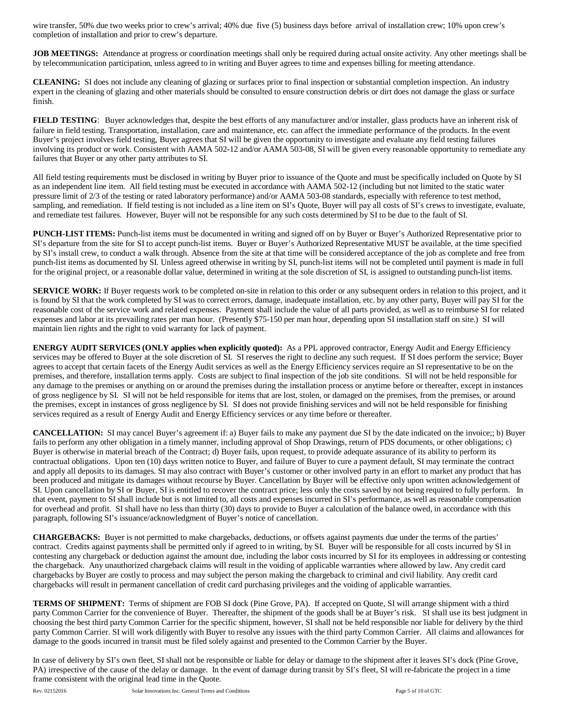wire transfer, 50% due two weeks prior to crew's arrival; 40% due five (5) business days before arrival of installation crew; 10% upon crew's completion of installation and prior to crew's departure.

**JOB MEETINGS:** Attendance at progress or coordination meetings shall only be required during actual onsite activity. Any other meetings shall be by telecommunication participation, unless agreed to in writing and Buyer agrees to time and expenses billing for meeting attendance.

**CLEANING:** SI does not include any cleaning of glazing or surfaces prior to final inspection or substantial completion inspection. An industry expert in the cleaning of glazing and other materials should be consulted to ensure construction debris or dirt does not damage the glass or surface finish.

**FIELD TESTING**: Buyer acknowledges that, despite the best efforts of any manufacturer and/or installer, glass products have an inherent risk of failure in field testing. Transportation, installation, care and maintenance, etc. can affect the immediate performance of the products. In the event Buyer's project involves field testing, Buyer agrees that SI will be given the opportunity to investigate and evaluate any field testing failures involving its product or work. Consistent with AAMA 502-12 and/or AAMA 503-08, SI will be given every reasonable opportunity to remediate any failures that Buyer or any other party attributes to SI.

All field testing requirements must be disclosed in writing by Buyer prior to issuance of the Quote and must be specifically included on Quote by SI as an independent line item. All field testing must be executed in accordance with AAMA 502-12 (including but not limited to the static water pressure limit of 2/3 of the testing or rated laboratory performance) and/or AAMA 503-08 standards, especially with reference to test method, sampling, and remediation. If field testing is not included as a line item on SI's Quote, Buyer will pay all costs of SI's crews to investigate, evaluate, and remediate test failures. However, Buyer will not be responsible for any such costs determined by SI to be due to the fault of SI.

**PUNCH-LIST ITEMS:** Punch-list items must be documented in writing and signed off on by Buyer or Buyer's Authorized Representative prior to SI's departure from the site for SI to accept punch-list items. Buyer or Buyer's Authorized Representative MUST be available, at the time specified by SI's install crew, to conduct a walk through. Absence from the site at that time will be considered acceptance of the job as complete and free from punch-list items as documented by SI. Unless agreed otherwise in writing by SI, punch-list items will not be completed until payment is made in full for the original project, or a reasonable dollar value, determined in writing at the sole discretion of SI, is assigned to outstanding punch-list items.

**SERVICE WORK:** If Buyer requests work to be completed on-site in relation to this order or any subsequent orders in relation to this project, and it is found by SI that the work completed by SI was to correct errors, damage, inadequate installation, etc. by any other party, Buyer will pay SI for the reasonable cost of the service work and related expenses. Payment shall include the value of all parts provided, as well as to reimburse SI for related expenses and labor at its prevailing rates per man hour. (Presently \$75-150 per man hour, depending upon SI installation staff on site.) SI will maintain lien rights and the right to void warranty for lack of payment.

**ENERGY AUDIT SERVICES (ONLY applies when explicitly quoted):** As a PPL approved contractor, Energy Audit and Energy Efficiency services may be offered to Buyer at the sole discretion of SI. SI reserves the right to decline any such request. If SI does perform the service; Buyer agrees to accept that certain facets of the Energy Audit services as well as the Energy Efficiency services require an SI representative to be on the premises, and therefore, installation terms apply. Costs are subject to final inspection of the job site conditions. SI will not be held responsible for any damage to the premises or anything on or around the premises during the installation process or anytime before or thereafter, except in instances of gross negligence by SI. SI will not be held responsible for items that are lost, stolen, or damaged on the premises, from the premises, or around the premises, except in instances of gross negligence by SI. SI does not provide finishing services and will not be held responsible for finishing services required as a result of Energy Audit and Energy Efficiency services or any time before or thereafter.

**CANCELLATION:** SI may cancel Buyer's agreement if: a) Buyer fails to make any payment due SI by the date indicated on the invoice;; b) Buyer fails to perform any other obligation in a timely manner, including approval of Shop Drawings, return of PDS documents, or other obligations; c) Buyer is otherwise in material breach of the Contract; d) Buyer fails, upon request, to provide adequate assurance of its ability to perform its contractual obligations. Upon ten (10) days written notice to Buyer, and failure of Buyer to cure a payment default, SI may terminate the contract and apply all deposits to its damages. SI may also contract with Buyer's customer or other involved party in an effort to market any product that has been produced and mitigate its damages without recourse by Buyer. Cancellation by Buyer will be effective only upon written acknowledgement of SI. Upon cancellation by SI or Buyer, SI is entitled to recover the contract price; less only the costs saved by not being required to fully perform. In that event, payment to SI shall include but is not limited to, all costs and expenses incurred in SI's performance, as well as reasonable compensation for overhead and profit. SI shall have no less than thirty (30) days to provide to Buyer a calculation of the balance owed, in accordance with this paragraph, following SI's issuance/acknowledgment of Buyer's notice of cancellation.

**CHARGEBACKS:** Buyer is not permitted to make chargebacks, deductions, or offsets against payments due under the terms of the parties' contract. Credits against payments shall be permitted only if agreed to in writing, by SI. Buyer will be responsible for all costs incurred by SI in contesting any chargeback or deduction against the amount due, including the labor costs incurred by SI for its employees in addressing or contesting the chargeback. Any unauthorized chargeback claims will result in the voiding of applicable warranties where allowed by law. Any credit card chargebacks by Buyer are costly to process and may subject the person making the chargeback to criminal and civil liability. Any credit card chargebacks will result in permanent cancellation of credit card purchasing privileges and the voiding of applicable warranties.

**TERMS OF SHIPMENT:** Terms of shipment are FOB SI dock (Pine Grove, PA). If accepted on Quote, SI will arrange shipment with a third party Common Carrier for the convenience of Buyer. Thereafter, the shipment of the goods shall be at Buyer's risk. SI shall use its best judgment in choosing the best third party Common Carrier for the specific shipment, however, SI shall not be held responsible nor liable for delivery by the third party Common Carrier. SI will work diligently with Buyer to resolve any issues with the third party Common Carrier. All claims and allowances for damage to the goods incurred in transit must be filed solely against and presented to the Common Carrier by the Buyer.

In case of delivery by SI's own fleet, SI shall not be responsible or liable for delay or damage to the shipment after it leaves SI's dock (Pine Grove, PA) irrespective of the cause of the delay or damage. In the event of damage during transit by SI's fleet, SI will re-fabricate the project in a time frame consistent with the original lead time in the Quote.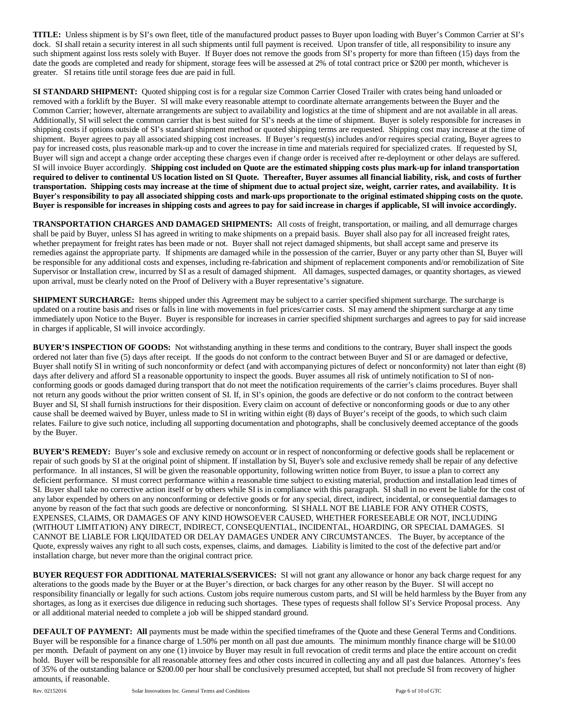**TITLE:** Unless shipment is by SI's own fleet, title of the manufactured product passes to Buyer upon loading with Buyer's Common Carrier at SI's dock. SI shall retain a security interest in all such shipments until full payment is received. Upon transfer of title, all responsibility to insure any such shipment against loss rests solely with Buyer. If Buyer does not remove the goods from SI's property for more than fifteen (15) days from the date the goods are completed and ready for shipment, storage fees will be assessed at 2% of total contract price or \$200 per month, whichever is greater. SI retains title until storage fees due are paid in full.

**SI STANDARD SHIPMENT:** Quoted shipping cost is for a regular size Common Carrier Closed Trailer with crates being hand unloaded or removed with a forklift by the Buyer. SI will make every reasonable attempt to coordinate alternate arrangements between the Buyer and the Common Carrier; however, alternate arrangements are subject to availability and logistics at the time of shipment and are not available in all areas. Additionally, SI will select the common carrier that is best suited for SI's needs at the time of shipment. Buyer is solely responsible for increases in shipping costs if options outside of SI's standard shipment method or quoted shipping terms are requested. Shipping cost may increase at the time of shipment. Buyer agrees to pay all associated shipping cost increases. If Buyer's request(s) includes and/or requires special crating, Buyer agrees to pay for increased costs, plus reasonable mark-up and to cover the increase in time and materials required for specialized crates. If requested by SI, Buyer will sign and accept a change order accepting these charges even if change order is received after re-deployment or other delays are suffered. SI will invoice Buyer accordingly. **Shipping cost included on Quote are the estimated shipping costs plus mark-up for inland transportation required to deliver to continental US location listed on SI Quote. Thereafter, Buyer assumes all financial liability, risk, and costs of further transportation. Shipping costs may increase at the time of shipment due to actual project size, weight, carrier rates, and availability. It is Buyer's responsibility to pay all associated shipping costs and mark-ups proportionate to the original estimated shipping costs on the quote. Buyer is responsible for increases in shipping costs and agrees to pay for said increase in charges if applicable, SI will invoice accordingly.**

**TRANSPORTATION CHARGES AND DAMAGED SHIPMENTS:** All costs of freight, transportation, or mailing, and all demurrage charges shall be paid by Buyer, unless SI has agreed in writing to make shipments on a prepaid basis. Buyer shall also pay for all increased freight rates, whether prepayment for freight rates has been made or not. Buyer shall not reject damaged shipments, but shall accept same and preserve its remedies against the appropriate party. If shipments are damaged while in the possession of the carrier, Buyer or any party other than SI, Buyer will be responsible for any additional costs and expenses, including re-fabrication and shipment of replacement components and/or remobilization of Site Supervisor or Installation crew, incurred by SI as a result of damaged shipment. All damages, suspected damages, or quantity shortages, as viewed upon arrival, must be clearly noted on the Proof of Delivery with a Buyer representative's signature.

**SHIPMENT SURCHARGE:** Items shipped under this Agreement may be subject to a carrier specified shipment surcharge. The surcharge is updated on a routine basis and rises or falls in line with movements in fuel prices/carrier costs. SI may amend the shipment surcharge at any time immediately upon Notice to the Buyer. Buyer is responsible for increases in carrier specified shipment surcharges and agrees to pay for said increase in charges if applicable, SI will invoice accordingly.

**BUYER'S INSPECTION OF GOODS:** Not withstanding anything in these terms and conditions to the contrary, Buyer shall inspect the goods ordered not later than five (5) days after receipt. If the goods do not conform to the contract between Buyer and SI or are damaged or defective, Buyer shall notify SI in writing of such nonconformity or defect (and with accompanying pictures of defect or nonconformity) not later than eight (8) days after delivery and afford SI a reasonable opportunity to inspect the goods. Buyer assumes all risk of untimely notification to SI of nonconforming goods or goods damaged during transport that do not meet the notification requirements of the carrier's claims procedures. Buyer shall not return any goods without the prior written consent of SI. If, in SI's opinion, the goods are defective or do not conform to the contract between Buyer and SI, SI shall furnish instructions for their disposition. Every claim on account of defective or nonconforming goods or due to any other cause shall be deemed waived by Buyer, unless made to SI in writing within eight (8) days of Buyer's receipt of the goods, to which such claim relates. Failure to give such notice, including all supporting documentation and photographs, shall be conclusively deemed acceptance of the goods by the Buyer.

**BUYER'S REMEDY:** Buyer's sole and exclusive remedy on account or in respect of nonconforming or defective goods shall be replacement or repair of such goods by SI at the original point of shipment. If installation by SI, Buyer's sole and exclusive remedy shall be repair of any defective performance. In all instances, SI will be given the reasonable opportunity, following written notice from Buyer, to issue a plan to correct any deficient performance. SI must correct performance within a reasonable time subject to existing material, production and installation lead times of SI. Buyer shall take no corrective action itself or by others while SI is in compliance with this paragraph. SI shall in no event be liable for the cost of any labor expended by others on any nonconforming or defective goods or for any special, direct, indirect, incidental, or consequential damages to anyone by reason of the fact that such goods are defective or nonconforming. SI SHALL NOT BE LIABLE FOR ANY OTHER COSTS, EXPENSES, CLAIMS, OR DAMAGES OF ANY KIND HOWSOEVER CAUSED, WHETHER FORESEEABLE OR NOT, INCLUDING (WITHOUT LIMITATION) ANY DIRECT, INDIRECT, CONSEQUENTIAL, INCIDENTAL, HOARDING, OR SPECIAL DAMAGES. SI CANNOT BE LIABLE FOR LIQUIDATED OR DELAY DAMAGES UNDER ANY CIRCUMSTANCES. The Buyer, by acceptance of the Quote, expressly waives any right to all such costs, expenses, claims, and damages. Liability is limited to the cost of the defective part and/or installation charge, but never more than the original contract price.

**BUYER REQUEST FOR ADDITIONAL MATERIALS/SERVICES:** SI will not grant any allowance or honor any back charge request for any alterations to the goods made by the Buyer or at the Buyer's direction, or back charges for any other reason by the Buyer. SI will accept no responsibility financially or legally for such actions. Custom jobs require numerous custom parts, and SI will be held harmless by the Buyer from any shortages, as long as it exercises due diligence in reducing such shortages. These types of requests shall follow SI's Service Proposal process. Any or all additional material needed to complete a job will be shipped standard ground.

**DEFAULT OF PAYMENT: All** payments must be made within the specified timeframes of the Quote and these General Terms and Conditions. Buyer will be responsible for a finance charge of 1.50% per month on all past due amounts. The minimum monthly finance charge will be \$10.00 per month. Default of payment on any one (1) invoice by Buyer may result in full revocation of credit terms and place the entire account on credit hold. Buyer will be responsible for all reasonable attorney fees and other costs incurred in collecting any and all past due balances. Attorney's fees of 35% of the outstanding balance or \$200.00 per hour shall be conclusively presumed accepted, but shall not preclude SI from recovery of higher amounts, if reasonable.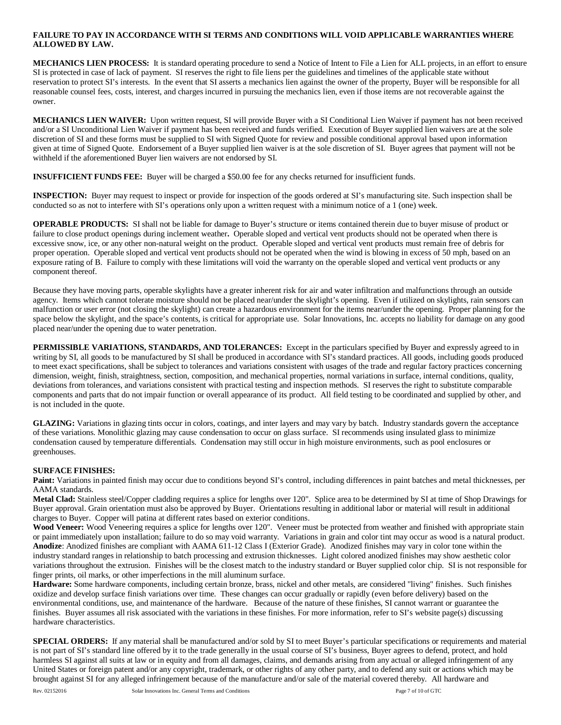# **FAILURE TO PAY IN ACCORDANCE WITH SI TERMS AND CONDITIONS WILL VOID APPLICABLE WARRANTIES WHERE ALLOWED BY LAW.**

**MECHANICS LIEN PROCESS:** It is standard operating procedure to send a Notice of Intent to File a Lien for ALL projects, in an effort to ensure SI is protected in case of lack of payment. SI reserves the right to file liens per the guidelines and timelines of the applicable state without reservation to protect SI's interests. In the event that SI asserts a mechanics lien against the owner of the property, Buyer will be responsible for all reasonable counsel fees, costs, interest, and charges incurred in pursuing the mechanics lien, even if those items are not recoverable against the owner.

**MECHANICS LIEN WAIVER:** Upon written request, SI will provide Buyer with a SI Conditional Lien Waiver if payment has not been received and/or a SI Unconditional Lien Waiver if payment has been received and funds verified. Execution of Buyer supplied lien waivers are at the sole discretion of SI and these forms must be supplied to SI with Signed Quote for review and possible conditional approval based upon information given at time of Signed Quote. Endorsement of a Buyer supplied lien waiver is at the sole discretion of SI. Buyer agrees that payment will not be withheld if the aforementioned Buyer lien waivers are not endorsed by SI.

**INSUFFICIENT FUNDS FEE:** Buyer will be charged a \$50.00 fee for any checks returned for insufficient funds.

**INSPECTION:** Buyer may request to inspect or provide for inspection of the goods ordered at SI's manufacturing site. Such inspection shall be conducted so as not to interfere with SI's operations only upon a written request with a minimum notice of a 1 (one) week.

**OPERABLE PRODUCTS:** SI shall not be liable for damage to Buyer's structure or items contained therein due to buyer misuse of product or failure to close product openings during inclement weather**.** Operable sloped and vertical vent products should not be operated when there is excessive snow, ice, or any other non-natural weight on the product. Operable sloped and vertical vent products must remain free of debris for proper operation. Operable sloped and vertical vent products should not be operated when the wind is blowing in excess of 50 mph, based on an exposure rating of B. Failure to comply with these limitations will void the warranty on the operable sloped and vertical vent products or any component thereof.

Because they have moving parts, operable skylights have a greater inherent risk for air and water infiltration and malfunctions through an outside agency. Items which cannot tolerate moisture should not be placed near/under the skylight's opening. Even if utilized on skylights, rain sensors can malfunction or user error (not closing the skylight) can create a hazardous environment for the items near/under the opening. Proper planning for the space below the skylight, and the space's contents, is critical for appropriate use. Solar Innovations, Inc. accepts no liability for damage on any good placed near/under the opening due to water penetration.

**PERMISSIBLE VARIATIONS, STANDARDS, AND TOLERANCES:** Except in the particulars specified by Buyer and expressly agreed to in writing by SI, all goods to be manufactured by SI shall be produced in accordance with SI's standard practices. All goods, including goods produced to meet exact specifications, shall be subject to tolerances and variations consistent with usages of the trade and regular factory practices concerning dimension, weight, finish, straightness, section, composition, and mechanical properties, normal variations in surface, internal conditions, quality, deviations from tolerances, and variations consistent with practical testing and inspection methods. SI reserves the right to substitute comparable components and parts that do not impair function or overall appearance of its product. All field testing to be coordinated and supplied by other, and is not included in the quote.

**GLAZING:** Variations in glazing tints occur in colors, coatings, and inter layers and may vary by batch. Industry standards govern the acceptance of these variations. Monolithic glazing may cause condensation to occur on glass surface. SI recommends using insulated glass to minimize condensation caused by temperature differentials. Condensation may still occur in high moisture environments, such as pool enclosures or greenhouses.

## **SURFACE FINISHES:**

**Paint:** Variations in painted finish may occur due to conditions beyond SI's control, including differences in paint batches and metal thicknesses, per AAMA standards.

**Metal Clad:** Stainless steel/Copper cladding requires a splice for lengths over 120". Splice area to be determined by SI at time of Shop Drawings for Buyer approval. Grain orientation must also be approved by Buyer. Orientations resulting in additional labor or material will result in additional charges to Buyer. Copper will patina at different rates based on exterior conditions.

Wood Veneer: Wood Veneering requires a splice for lengths over 120". Veneer must be protected from weather and finished with appropriate stain or paint immediately upon installation; failure to do so may void warranty. Variations in grain and color tint may occur as wood is a natural product. **Anodize**: Anodized finishes are compliant with AAMA 611-12 Class I (Exterior Grade). Anodized finishes may vary in color tone within the industry standard ranges in relationship to batch processing and extrusion thicknesses. Light colored anodized finishes may show aesthetic color variations throughout the extrusion. Finishes will be the closest match to the industry standard or Buyer supplied color chip. SI is not responsible for finger prints, oil marks, or other imperfections in the mill aluminum surface.

**Hardware:** Some hardware components, including certain bronze, brass, nickel and other metals, are considered "living" finishes. Such finishes oxidize and develop surface finish variations over time. These changes can occur gradually or rapidly (even before delivery) based on the environmental conditions, use, and maintenance of the hardware. Because of the nature of these finishes, SI cannot warrant or guarantee the finishes. Buyer assumes all risk associated with the variations in these finishes. For more information, refer to SI's website page(s) discussing hardware characteristics.

**SPECIAL ORDERS:** If any material shall be manufactured and/or sold by SI to meet Buyer's particular specifications or requirements and material is not part of SI's standard line offered by it to the trade generally in the usual course of SI's business, Buyer agrees to defend, protect, and hold harmless SI against all suits at law or in equity and from all damages, claims, and demands arising from any actual or alleged infringement of any United States or foreign patent and/or any copyright, trademark, or other rights of any other party, and to defend any suit or actions which may be brought against SI for any alleged infringement because of the manufacture and/or sale of the material covered thereby. All hardware and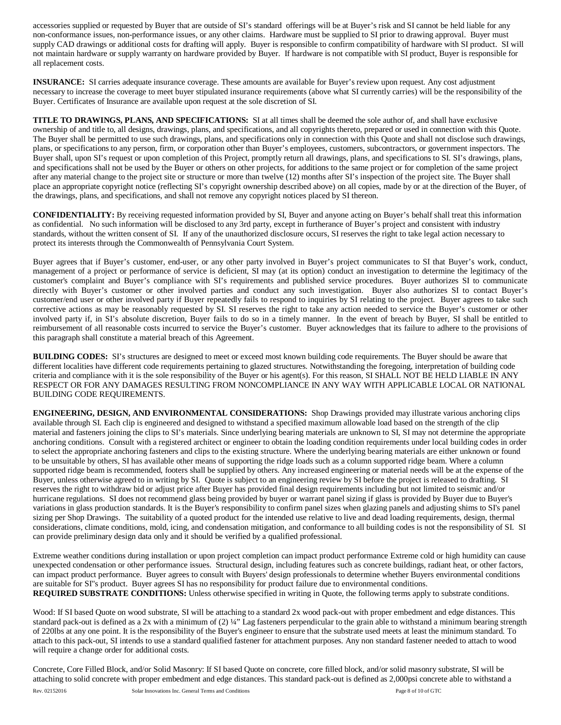accessories supplied or requested by Buyer that are outside of SI's standard offerings will be at Buyer's risk and SI cannot be held liable for any non-conformance issues, non-performance issues, or any other claims. Hardware must be supplied to SI prior to drawing approval. Buyer must supply CAD drawings or additional costs for drafting will apply. Buyer is responsible to confirm compatibility of hardware with SI product. SI will not maintain hardware or supply warranty on hardware provided by Buyer. If hardware is not compatible with SI product, Buyer is responsible for all replacement costs.

**INSURANCE:** SI carries adequate insurance coverage. These amounts are available for Buyer's review upon request. Any cost adjustment necessary to increase the coverage to meet buyer stipulated insurance requirements (above what SI currently carries) will be the responsibility of the Buyer. Certificates of Insurance are available upon request at the sole discretion of SI.

**TITLE TO DRAWINGS, PLANS, AND SPECIFICATIONS:** SI at all times shall be deemed the sole author of, and shall have exclusive ownership of and title to, all designs, drawings, plans, and specifications, and all copyrights thereto, prepared or used in connection with this Quote. The Buyer shall be permitted to use such drawings, plans, and specifications only in connection with this Quote and shall not disclose such drawings, plans, or specifications to any person, firm, or corporation other than Buyer's employees, customers, subcontractors, or government inspectors. The Buyer shall, upon SI's request or upon completion of this Project, promptly return all drawings, plans, and specifications to SI. SI's drawings, plans, and specifications shall not be used by the Buyer or others on other projects, for additions to the same project or for completion of the same project after any material change to the project site or structure or more than twelve (12) months after SI's inspection of the project site. The Buyer shall place an appropriate copyright notice (reflecting SI's copyright ownership described above) on all copies, made by or at the direction of the Buyer, of the drawings, plans, and specifications, and shall not remove any copyright notices placed by SI thereon.

**CONFIDENTIALITY:** By receiving requested information provided by SI, Buyer and anyone acting on Buyer's behalf shall treat this information as confidential. No such information will be disclosed to any 3rd party, except in furtherance of Buyer's project and consistent with industry standards, without the written consent of SI. If any of the unauthorized disclosure occurs, SI reserves the right to take legal action necessary to protect its interests through the Commonwealth of Pennsylvania Court System.

Buyer agrees that if Buyer's customer, end-user, or any other party involved in Buyer's project communicates to SI that Buyer's work, conduct, management of a project or performance of service is deficient, SI may (at its option) conduct an investigation to determine the legitimacy of the customer's complaint and Buyer's compliance with SI's requirements and published service procedures. Buyer authorizes SI to communicate directly with Buyer's customer or other involved parties and conduct any such investigation. Buyer also authorizes SI to contact Buyer's customer/end user or other involved party if Buyer repeatedly fails to respond to inquiries by SI relating to the project. Buyer agrees to take such corrective actions as may be reasonably requested by SI. SI reserves the right to take any action needed to service the Buyer's customer or other involved party if, in SI's absolute discretion, Buyer fails to do so in a timely manner. In the event of breach by Buyer, SI shall be entitled to reimbursement of all reasonable costs incurred to service the Buyer's customer. Buyer acknowledges that its failure to adhere to the provisions of this paragraph shall constitute a material breach of this Agreement.

**BUILDING CODES:** SI's structures are designed to meet or exceed most known building code requirements. The Buyer should be aware that different localities have different code requirements pertaining to glazed structures. Notwithstanding the foregoing, interpretation of building code criteria and compliance with it is the sole responsibility of the Buyer or his agent(s). For this reason, SI SHALL NOT BE HELD LIABLE IN ANY RESPECT OR FOR ANY DAMAGES RESULTING FROM NONCOMPLIANCE IN ANY WAY WITH APPLICABLE LOCAL OR NATIONAL BUILDING CODE REQUIREMENTS.

**ENGINEERING, DESIGN, AND ENVIRONMENTAL CONSIDERATIONS:** Shop Drawings provided may illustrate various anchoring clips available through SI. Each clip is engineered and designed to withstand a specified maximum allowable load based on the strength of the clip material and fasteners joining the clips to SI's materials. Since underlying bearing materials are unknown to SI, SI may not determine the appropriate anchoring conditions. Consult with a registered architect or engineer to obtain the loading condition requirements under local building codes in order to select the appropriate anchoring fasteners and clips to the existing structure. Where the underlying bearing materials are either unknown or found to be unsuitable by others, SI has available other means of supporting the ridge loads such as a column supported ridge beam. Where a column supported ridge beam is recommended, footers shall be supplied by others. Any increased engineering or material needs will be at the expense of the Buyer, unless otherwise agreed to in writing by SI. Quote is subject to an engineering review by SI before the project is released to drafting. SI reserves the right to withdraw bid or adjust price after Buyer has provided final design requirements including but not limited to seismic and/or hurricane regulations. SI does not recommend glass being provided by buyer or warrant panel sizing if glass is provided by Buyer due to Buyer's variations in glass production standards. It is the Buyer's responsibility to confirm panel sizes when glazing panels and adjusting shims to SI's panel sizing per Shop Drawings.The suitability of a quoted product for the intended use relative to live and dead loading requirements, design, thermal considerations, climate conditions, mold, icing, and condensation mitigation, and conformance to all building codes is not the responsibility of SI. SI can provide preliminary design data only and it should be verified by a qualified professional.

Extreme weather conditions during installation or upon project completion can impact product performance Extreme cold or high humidity can cause unexpected condensation or other performance issues. Structural design, including features such as concrete buildings, radiant heat, or other factors, can impact product performance. Buyer agrees to consult with Buyers' design professionals to determine whether Buyers environmental conditions are suitable for SI"s product. Buyer agrees SI has no responsibility for product failure due to environmental conditions. **REQUIRED SUBSTRATE CONDITIONS:** Unless otherwise specified in writing in Quote, the following terms apply to substrate conditions.

Wood: If SI based Quote on wood substrate, SI will be attaching to a standard 2x wood pack-out with proper embedment and edge distances. This standard pack-out is defined as a 2x with a minimum of (2) ¼" Lag fasteners perpendicular to the grain able to withstand a minimum bearing strength of 220lbs at any one point. It is the responsibility of the Buyer's engineer to ensure that the substrate used meets at least the minimum standard. To attach to this pack-out, SI intends to use a standard qualified fastener for attachment purposes. Any non standard fastener needed to attach to wood will require a change order for additional costs.

Concrete, Core Filled Block, and/or Solid Masonry: If SI based Quote on concrete, core filled block, and/or solid masonry substrate, SI will be attaching to solid concrete with proper embedment and edge distances. This standard pack-out is defined as 2,000psi concrete able to withstand a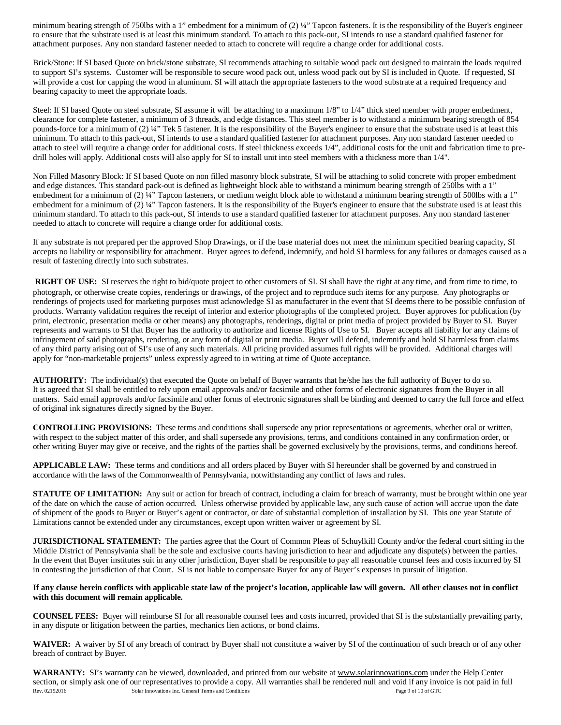minimum bearing strength of 750lbs with a 1" embedment for a minimum of  $(2)$  ¼" Tapcon fasteners. It is the responsibility of the Buyer's engineer to ensure that the substrate used is at least this minimum standard. To attach to this pack-out, SI intends to use a standard qualified fastener for attachment purposes. Any non standard fastener needed to attach to concrete will require a change order for additional costs.

Brick/Stone: If SI based Quote on brick/stone substrate, SI recommends attaching to suitable wood pack out designed to maintain the loads required to support SI's systems. Customer will be responsible to secure wood pack out, unless wood pack out by SI is included in Quote. If requested, SI will provide a cost for capping the wood in aluminum. SI will attach the appropriate fasteners to the wood substrate at a required frequency and bearing capacity to meet the appropriate loads.

Steel: If SI based Quote on steel substrate, SI assume it will be attaching to a maximum 1/8" to 1/4" thick steel member with proper embedment, clearance for complete fastener, a minimum of 3 threads, and edge distances. This steel member is to withstand a minimum bearing strength of 854 pounds-force for a minimum of (2) ¼" Tek 5 fastener. It is the responsibility of the Buyer's engineer to ensure that the substrate used is at least this minimum. To attach to this pack-out, SI intends to use a standard qualified fastener for attachment purposes. Any non standard fastener needed to attach to steel will require a change order for additional costs. If steel thickness exceeds 1/4", additional costs for the unit and fabrication time to predrill holes will apply. Additional costs will also apply for SI to install unit into steel members with a thickness more than 1/4".

Non Filled Masonry Block: If SI based Quote on non filled masonry block substrate, SI will be attaching to solid concrete with proper embedment and edge distances. This standard pack-out is defined as lightweight block able to withstand a minimum bearing strength of 250lbs with a 1" embedment for a minimum of (2) 1/4" Tapcon fasteners, or medium weight block able to withstand a minimum bearing strength of 500lbs with a 1" embedment for a minimum of (2) ¼" Tapcon fasteners. It is the responsibility of the Buyer's engineer to ensure that the substrate used is at least this minimum standard. To attach to this pack-out, SI intends to use a standard qualified fastener for attachment purposes. Any non standard fastener needed to attach to concrete will require a change order for additional costs.

If any substrate is not prepared per the approved Shop Drawings, or if the base material does not meet the minimum specified bearing capacity, SI accepts no liability or responsibility for attachment. Buyer agrees to defend, indemnify, and hold SI harmless for any failures or damages caused as a result of fastening directly into such substrates.

**RIGHT OF USE:** SI reserves the right to bid/quote project to other customers of SI. SI shall have the right at any time, and from time to time, to photograph, or otherwise create copies, renderings or drawings, of the project and to reproduce such items for any purpose. Any photographs or renderings of projects used for marketing purposes must acknowledge SI as manufacturer in the event that SI deems there to be possible confusion of products. Warranty validation requires the receipt of interior and exterior photographs of the completed project. Buyer approves for publication (by print, electronic, presentation media or other means) any photographs, renderings, digital or print media of project provided by Buyer to SI. Buyer represents and warrants to SI that Buyer has the authority to authorize and license Rights of Use to SI. Buyer accepts all liability for any claims of infringement of said photographs, rendering, or any form of digital or print media. Buyer will defend, indemnify and hold SI harmless from claims of any third party arising out of SI's use of any such materials. All pricing provided assumes full rights will be provided. Additional charges will apply for "non-marketable projects" unless expressly agreed to in writing at time of Quote acceptance.

**AUTHORITY:** The individual(s) that executed the Quote on behalf of Buyer warrants that he/she has the full authority of Buyer to do so. It is agreed that SI shall be entitled to rely upon email approvals and/or facsimile and other forms of electronic signatures from the Buyer in all matters. Said email approvals and/or facsimile and other forms of electronic signatures shall be binding and deemed to carry the full force and effect of original ink signatures directly signed by the Buyer.

**CONTROLLING PROVISIONS:** These terms and conditions shall supersede any prior representations or agreements, whether oral or written, with respect to the subject matter of this order, and shall supersede any provisions, terms, and conditions contained in any confirmation order, or other writing Buyer may give or receive, and the rights of the parties shall be governed exclusively by the provisions, terms, and conditions hereof.

**APPLICABLE LAW:** These terms and conditions and all orders placed by Buyer with SI hereunder shall be governed by and construed in accordance with the laws of the Commonwealth of Pennsylvania, notwithstanding any conflict of laws and rules.

**STATUTE OF LIMITATION:** Any suit or action for breach of contract, including a claim for breach of warranty, must be brought within one year of the date on which the cause of action occurred. Unless otherwise provided by applicable law, any such cause of action will accrue upon the date of shipment of the goods to Buyer or Buyer's agent or contractor, or date of substantial completion of installation by SI. This one year Statute of Limitations cannot be extended under any circumstances, except upon written waiver or agreement by SI.

**JURISDICTIONAL STATEMENT:** The parties agree that the Court of Common Pleas of Schuylkill County and/or the federal court sitting in the Middle District of Pennsylvania shall be the sole and exclusive courts having jurisdiction to hear and adjudicate any dispute(s) between the parties. In the event that Buyer institutes suit in any other jurisdiction, Buyer shall be responsible to pay all reasonable counsel fees and costs incurred by SI in contesting the jurisdiction of that Court. SI is not liable to compensate Buyer for any of Buyer's expenses in pursuit of litigation.

### **If any clause herein conflicts with applicable state law of the project's location, applicable law will govern. All other clauses not in conflict with this document will remain applicable.**

**COUNSEL FEES:** Buyer will reimburse SI for all reasonable counsel fees and costs incurred, provided that SI is the substantially prevailing party, in any dispute or litigation between the parties, mechanics lien actions, or bond claims.

**WAIVER:** A waiver by SI of any breach of contract by Buyer shall not constitute a waiver by SI of the continuation of such breach or of any other breach of contract by Buyer.

Rev. 02152016 Solar Innovations Inc. General Terms and Conditions Page 9 of 10 of GTC WARRANTY: SI's warranty can be viewed, downloaded, and printed from our website at www.solarinnovations.com under the Help Center section, or simply ask one of our representatives to provide a copy. All warranties shall be rendered null and void if any invoice is not paid in full